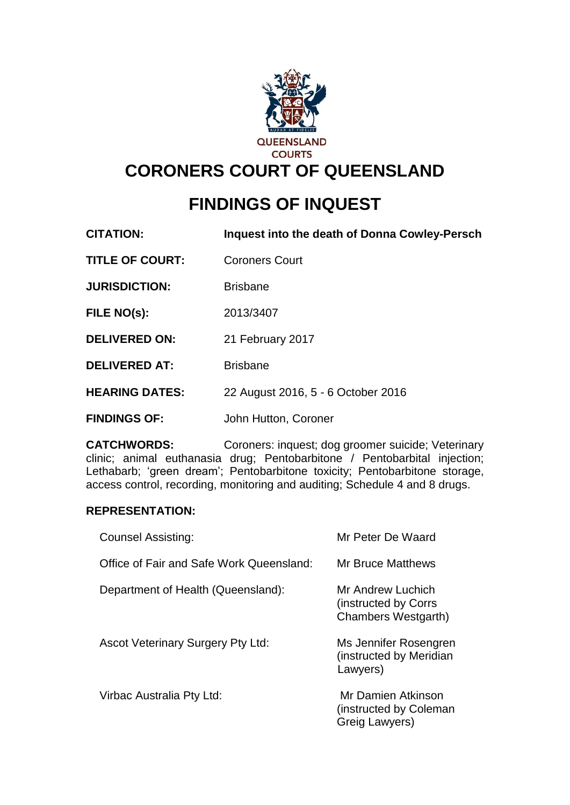

# **CORONERS COURT OF QUEENSLAND**

# **FINDINGS OF INQUEST**

| <b>CITATION:</b> | Inquest into the death of Donna Cowley-Persch |
|------------------|-----------------------------------------------|
|------------------|-----------------------------------------------|

**TITLE OF COURT:** Coroners Court

**JURISDICTION:** Brisbane

**FILE NO(s):** 2013/3407

**DELIVERED ON:** 21 February 2017

**DELIVERED AT:** Brisbane

**HEARING DATES:** 22 August 2016, 5 - 6 October 2016

**FINDINGS OF:** John Hutton, Coroner

**CATCHWORDS:** Coroners: inquest; dog groomer suicide; Veterinary clinic; animal euthanasia drug; Pentobarbitone / Pentobarbital injection; Lethabarb; 'green dream'; Pentobarbitone toxicity; Pentobarbitone storage, access control, recording, monitoring and auditing; Schedule 4 and 8 drugs.

#### **REPRESENTATION:**

| <b>Counsel Assisting:</b>                | Mr Peter De Waard                                                |
|------------------------------------------|------------------------------------------------------------------|
| Office of Fair and Safe Work Queensland: | Mr Bruce Matthews                                                |
| Department of Health (Queensland):       | Mr Andrew Luchich<br>(instructed by Corrs<br>Chambers Westgarth) |
| <b>Ascot Veterinary Surgery Pty Ltd:</b> | Ms Jennifer Rosengren<br>(instructed by Meridian<br>Lawyers)     |
| Virbac Australia Pty Ltd:                | Mr Damien Atkinson<br>(instructed by Coleman<br>Greig Lawyers)   |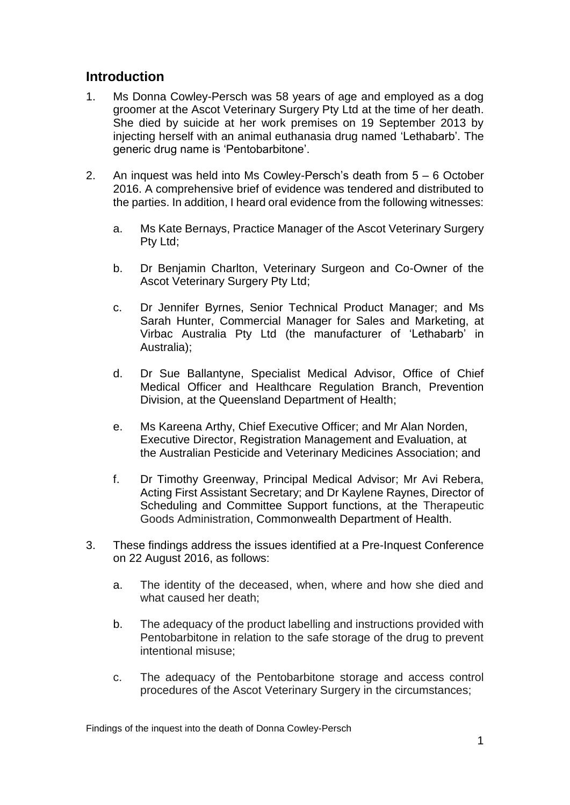# **Introduction**

- 1. Ms Donna Cowley-Persch was 58 years of age and employed as a dog groomer at the Ascot Veterinary Surgery Pty Ltd at the time of her death. She died by suicide at her work premises on 19 September 2013 by injecting herself with an animal euthanasia drug named 'Lethabarb'. The generic drug name is 'Pentobarbitone'.
- 2. An inquest was held into Ms Cowley-Persch's death from 5 6 October 2016. A comprehensive brief of evidence was tendered and distributed to the parties. In addition, I heard oral evidence from the following witnesses:
	- a. Ms Kate Bernays, Practice Manager of the Ascot Veterinary Surgery Pty Ltd;
	- b. Dr Benjamin Charlton, Veterinary Surgeon and Co-Owner of the Ascot Veterinary Surgery Pty Ltd;
	- c. Dr Jennifer Byrnes, Senior Technical Product Manager; and Ms Sarah Hunter, Commercial Manager for Sales and Marketing, at Virbac Australia Pty Ltd (the manufacturer of 'Lethabarb' in Australia);
	- d. Dr Sue Ballantyne, Specialist Medical Advisor, Office of Chief Medical Officer and Healthcare Regulation Branch, Prevention Division, at the Queensland Department of Health;
	- e. Ms Kareena Arthy, Chief Executive Officer; and Mr Alan Norden, Executive Director, Registration Management and Evaluation, at the Australian Pesticide and Veterinary Medicines Association; and
	- f. Dr Timothy Greenway, Principal Medical Advisor; Mr Avi Rebera, Acting First Assistant Secretary; and Dr Kaylene Raynes, Director of Scheduling and Committee Support functions, at the Therapeutic Goods Administration, Commonwealth Department of Health.
- 3. These findings address the issues identified at a Pre-Inquest Conference on 22 August 2016, as follows:
	- a. The identity of the deceased, when, where and how she died and what caused her death;
	- b. The adequacy of the product labelling and instructions provided with Pentobarbitone in relation to the safe storage of the drug to prevent intentional misuse;
	- c. The adequacy of the Pentobarbitone storage and access control procedures of the Ascot Veterinary Surgery in the circumstances;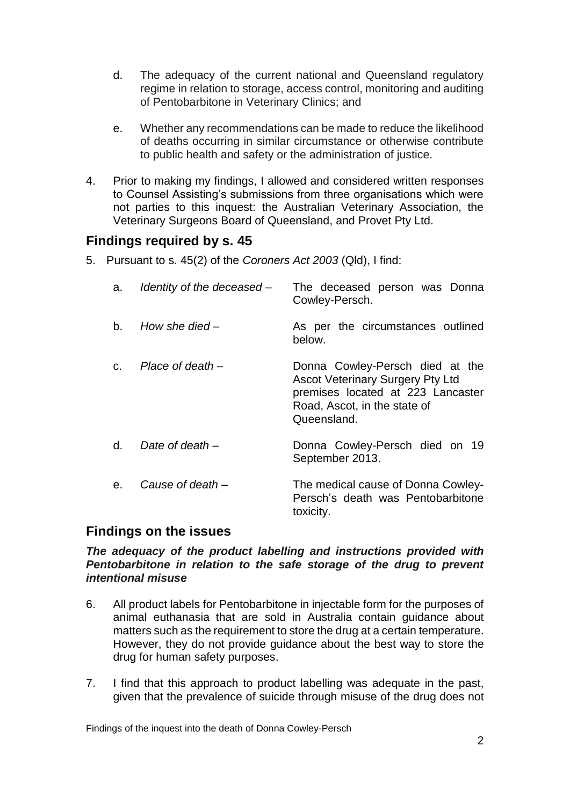- d. The adequacy of the current national and Queensland regulatory regime in relation to storage, access control, monitoring and auditing of Pentobarbitone in Veterinary Clinics; and
- e. Whether any recommendations can be made to reduce the likelihood of deaths occurring in similar circumstance or otherwise contribute to public health and safety or the administration of justice.
- 4. Prior to making my findings, I allowed and considered written responses to Counsel Assisting's submissions from three organisations which were not parties to this inquest: the Australian Veterinary Association, the Veterinary Surgeons Board of Queensland, and Provet Pty Ltd.

# **Findings required by s. 45**

5. Pursuant to s. 45(2) of the *Coroners Act 2003* (Qld), I find:

| a. | Identity of the deceased - | The deceased person was Donna<br>Cowley-Persch.                                                                                                                |
|----|----------------------------|----------------------------------------------------------------------------------------------------------------------------------------------------------------|
| b. | How she died $-$           | As per the circumstances outlined<br>below.                                                                                                                    |
| C. | Place of death-            | Donna Cowley-Persch died at the<br><b>Ascot Veterinary Surgery Pty Ltd</b><br>premises located at 223 Lancaster<br>Road, Ascot, in the state of<br>Queensland. |
| d. | Date of death –            | Donna Cowley-Persch died on 19<br>September 2013.                                                                                                              |
| e. | Cause of death –           | The medical cause of Donna Cowley-<br>Persch's death was Pentobarbitone<br>toxicity.                                                                           |

# **Findings on the issues**

#### *The adequacy of the product labelling and instructions provided with Pentobarbitone in relation to the safe storage of the drug to prevent intentional misuse*

- 6. All product labels for Pentobarbitone in injectable form for the purposes of animal euthanasia that are sold in Australia contain guidance about matters such as the requirement to store the drug at a certain temperature. However, they do not provide guidance about the best way to store the drug for human safety purposes.
- 7. I find that this approach to product labelling was adequate in the past, given that the prevalence of suicide through misuse of the drug does not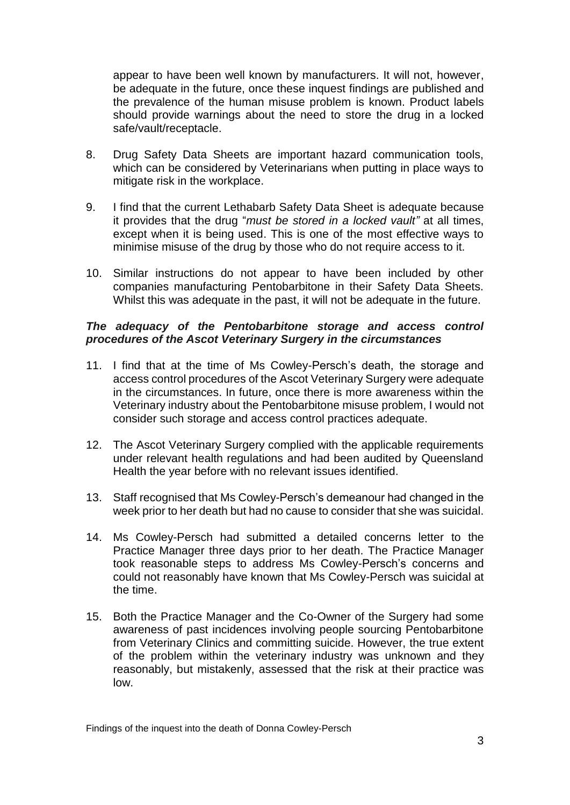appear to have been well known by manufacturers. It will not, however, be adequate in the future, once these inquest findings are published and the prevalence of the human misuse problem is known. Product labels should provide warnings about the need to store the drug in a locked safe/vault/receptacle.

- 8. Drug Safety Data Sheets are important hazard communication tools, which can be considered by Veterinarians when putting in place ways to mitigate risk in the workplace.
- 9. I find that the current Lethabarb Safety Data Sheet is adequate because it provides that the drug "*must be stored in a locked vault"* at all times, except when it is being used. This is one of the most effective ways to minimise misuse of the drug by those who do not require access to it.
- 10. Similar instructions do not appear to have been included by other companies manufacturing Pentobarbitone in their Safety Data Sheets. Whilst this was adequate in the past, it will not be adequate in the future.

#### *The adequacy of the Pentobarbitone storage and access control procedures of the Ascot Veterinary Surgery in the circumstances*

- 11. I find that at the time of Ms Cowley-Persch's death, the storage and access control procedures of the Ascot Veterinary Surgery were adequate in the circumstances. In future, once there is more awareness within the Veterinary industry about the Pentobarbitone misuse problem, I would not consider such storage and access control practices adequate.
- 12. The Ascot Veterinary Surgery complied with the applicable requirements under relevant health regulations and had been audited by Queensland Health the year before with no relevant issues identified.
- 13. Staff recognised that Ms Cowley-Persch's demeanour had changed in the week prior to her death but had no cause to consider that she was suicidal.
- 14. Ms Cowley-Persch had submitted a detailed concerns letter to the Practice Manager three days prior to her death. The Practice Manager took reasonable steps to address Ms Cowley-Persch's concerns and could not reasonably have known that Ms Cowley-Persch was suicidal at the time.
- 15. Both the Practice Manager and the Co-Owner of the Surgery had some awareness of past incidences involving people sourcing Pentobarbitone from Veterinary Clinics and committing suicide. However, the true extent of the problem within the veterinary industry was unknown and they reasonably, but mistakenly, assessed that the risk at their practice was low.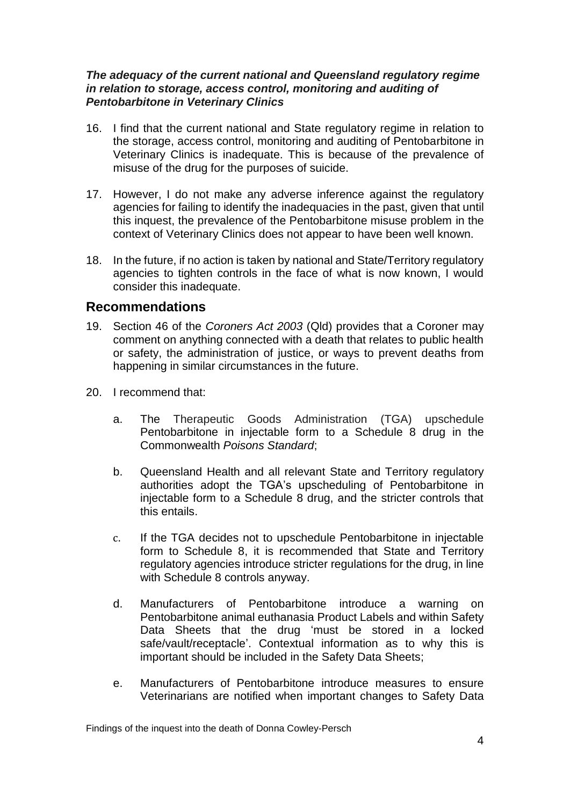#### *The adequacy of the current national and Queensland regulatory regime in relation to storage, access control, monitoring and auditing of Pentobarbitone in Veterinary Clinics*

- 16. I find that the current national and State regulatory regime in relation to the storage, access control, monitoring and auditing of Pentobarbitone in Veterinary Clinics is inadequate. This is because of the prevalence of misuse of the drug for the purposes of suicide.
- 17. However, I do not make any adverse inference against the regulatory agencies for failing to identify the inadequacies in the past, given that until this inquest, the prevalence of the Pentobarbitone misuse problem in the context of Veterinary Clinics does not appear to have been well known.
- 18. In the future, if no action is taken by national and State/Territory regulatory agencies to tighten controls in the face of what is now known, I would consider this inadequate.

# **Recommendations**

- 19. Section 46 of the *Coroners Act 2003* (Qld) provides that a Coroner may comment on anything connected with a death that relates to public health or safety, the administration of justice, or ways to prevent deaths from happening in similar circumstances in the future.
- 20. I recommend that:
	- a. The Therapeutic Goods Administration (TGA) upschedule Pentobarbitone in injectable form to a Schedule 8 drug in the Commonwealth *Poisons Standard*;
	- b. Queensland Health and all relevant State and Territory regulatory authorities adopt the TGA's upscheduling of Pentobarbitone in injectable form to a Schedule 8 drug, and the stricter controls that this entails.
	- c. If the TGA decides not to upschedule Pentobarbitone in injectable form to Schedule 8, it is recommended that State and Territory regulatory agencies introduce stricter regulations for the drug, in line with Schedule 8 controls anyway.
	- d. Manufacturers of Pentobarbitone introduce a warning on Pentobarbitone animal euthanasia Product Labels and within Safety Data Sheets that the drug 'must be stored in a locked safe/vault/receptacle'. Contextual information as to why this is important should be included in the Safety Data Sheets;
	- e. Manufacturers of Pentobarbitone introduce measures to ensure Veterinarians are notified when important changes to Safety Data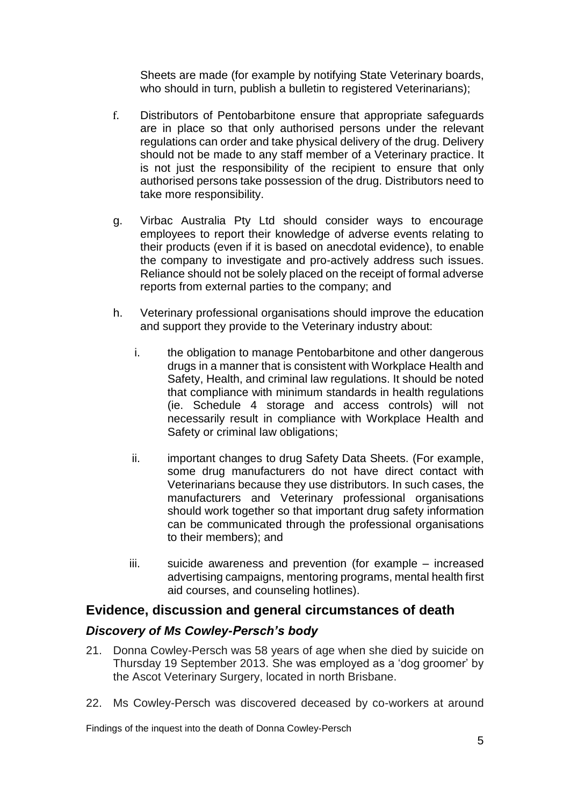Sheets are made (for example by notifying State Veterinary boards, who should in turn, publish a bulletin to registered Veterinarians);

- f. Distributors of Pentobarbitone ensure that appropriate safeguards are in place so that only authorised persons under the relevant regulations can order and take physical delivery of the drug. Delivery should not be made to any staff member of a Veterinary practice. It is not just the responsibility of the recipient to ensure that only authorised persons take possession of the drug. Distributors need to take more responsibility.
- g. Virbac Australia Pty Ltd should consider ways to encourage employees to report their knowledge of adverse events relating to their products (even if it is based on anecdotal evidence), to enable the company to investigate and pro-actively address such issues. Reliance should not be solely placed on the receipt of formal adverse reports from external parties to the company; and
- h. Veterinary professional organisations should improve the education and support they provide to the Veterinary industry about:
	- i. the obligation to manage Pentobarbitone and other dangerous drugs in a manner that is consistent with Workplace Health and Safety, Health, and criminal law regulations. It should be noted that compliance with minimum standards in health regulations (ie. Schedule 4 storage and access controls) will not necessarily result in compliance with Workplace Health and Safety or criminal law obligations;
	- ii. important changes to drug Safety Data Sheets. (For example, some drug manufacturers do not have direct contact with Veterinarians because they use distributors. In such cases, the manufacturers and Veterinary professional organisations should work together so that important drug safety information can be communicated through the professional organisations to their members); and
	- iii. suicide awareness and prevention (for example increased advertising campaigns, mentoring programs, mental health first aid courses, and counseling hotlines).

# **Evidence, discussion and general circumstances of death**

# *Discovery of Ms Cowley-Persch's body*

- 21. Donna Cowley-Persch was 58 years of age when she died by suicide on Thursday 19 September 2013. She was employed as a 'dog groomer' by the Ascot Veterinary Surgery, located in north Brisbane.
- 22. Ms Cowley-Persch was discovered deceased by co-workers at around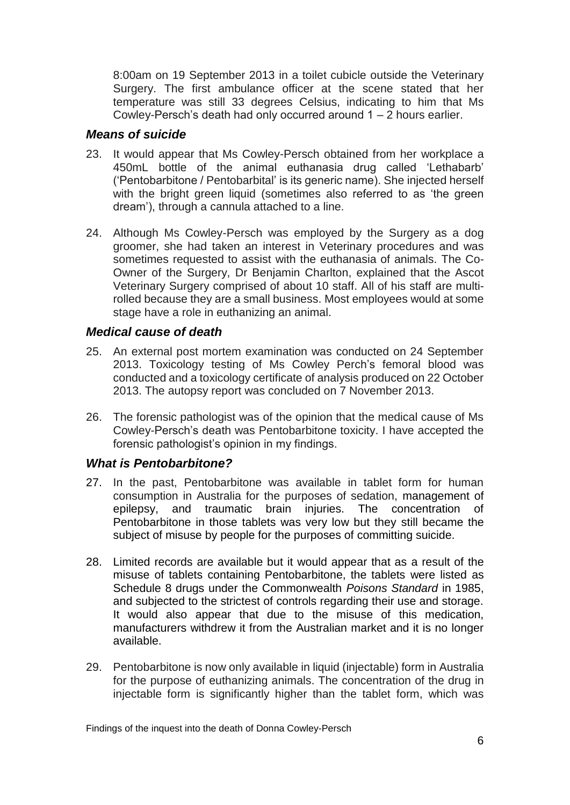8:00am on 19 September 2013 in a toilet cubicle outside the Veterinary Surgery. The first ambulance officer at the scene stated that her temperature was still 33 degrees Celsius, indicating to him that Ms Cowley-Persch's death had only occurred around 1 – 2 hours earlier.

## *Means of suicide*

- 23. It would appear that Ms Cowley-Persch obtained from her workplace a 450mL bottle of the animal euthanasia drug called 'Lethabarb' ('Pentobarbitone / Pentobarbital' is its generic name). She injected herself with the bright green liquid (sometimes also referred to as 'the green dream'), through a cannula attached to a line.
- 24. Although Ms Cowley-Persch was employed by the Surgery as a dog groomer, she had taken an interest in Veterinary procedures and was sometimes requested to assist with the euthanasia of animals. The Co-Owner of the Surgery, Dr Benjamin Charlton, explained that the Ascot Veterinary Surgery comprised of about 10 staff. All of his staff are multirolled because they are a small business. Most employees would at some stage have a role in euthanizing an animal.

# *Medical cause of death*

- 25. An external post mortem examination was conducted on 24 September 2013. Toxicology testing of Ms Cowley Perch's femoral blood was conducted and a toxicology certificate of analysis produced on 22 October 2013. The autopsy report was concluded on 7 November 2013.
- 26. The forensic pathologist was of the opinion that the medical cause of Ms Cowley-Persch's death was Pentobarbitone toxicity. I have accepted the forensic pathologist's opinion in my findings.

# *What is Pentobarbitone?*

- 27. In the past, Pentobarbitone was available in tablet form for human consumption in Australia for the purposes of sedation, management of epilepsy, and traumatic brain injuries. The concentration of Pentobarbitone in those tablets was very low but they still became the subject of misuse by people for the purposes of committing suicide.
- 28. Limited records are available but it would appear that as a result of the misuse of tablets containing Pentobarbitone, the tablets were listed as Schedule 8 drugs under the Commonwealth *Poisons Standard* in 1985, and subjected to the strictest of controls regarding their use and storage. It would also appear that due to the misuse of this medication. manufacturers withdrew it from the Australian market and it is no longer available.
- 29. Pentobarbitone is now only available in liquid (injectable) form in Australia for the purpose of euthanizing animals. The concentration of the drug in injectable form is significantly higher than the tablet form, which was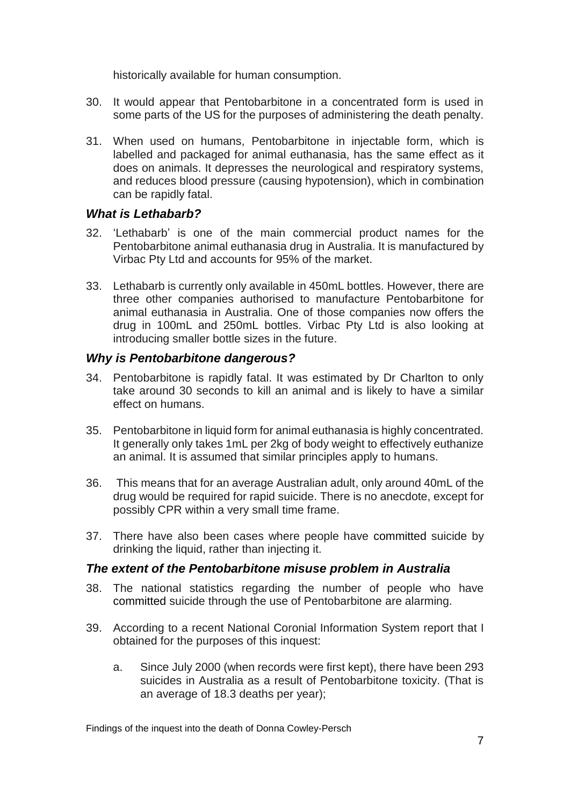historically available for human consumption.

- 30. It would appear that Pentobarbitone in a concentrated form is used in some parts of the US for the purposes of administering the death penalty.
- 31. When used on humans, Pentobarbitone in injectable form, which is labelled and packaged for animal euthanasia, has the same effect as it does on animals. It depresses the neurological and respiratory systems, and reduces blood pressure (causing hypotension), which in combination can be rapidly fatal.

# *What is Lethabarb?*

- 32. 'Lethabarb' is one of the main commercial product names for the Pentobarbitone animal euthanasia drug in Australia. It is manufactured by Virbac Pty Ltd and accounts for 95% of the market.
- 33. Lethabarb is currently only available in 450mL bottles. However, there are three other companies authorised to manufacture Pentobarbitone for animal euthanasia in Australia. One of those companies now offers the drug in 100mL and 250mL bottles. Virbac Pty Ltd is also looking at introducing smaller bottle sizes in the future.

# *Why is Pentobarbitone dangerous?*

- 34. Pentobarbitone is rapidly fatal. It was estimated by Dr Charlton to only take around 30 seconds to kill an animal and is likely to have a similar effect on humans.
- 35. Pentobarbitone in liquid form for animal euthanasia is highly concentrated. It generally only takes 1mL per 2kg of body weight to effectively euthanize an animal. It is assumed that similar principles apply to humans.
- 36. This means that for an average Australian adult, only around 40mL of the drug would be required for rapid suicide. There is no anecdote, except for possibly CPR within a very small time frame.
- 37. There have also been cases where people have committed suicide by drinking the liquid, rather than injecting it.

# *The extent of the Pentobarbitone misuse problem in Australia*

- 38. The national statistics regarding the number of people who have committed suicide through the use of Pentobarbitone are alarming.
- 39. According to a recent National Coronial Information System report that I obtained for the purposes of this inquest:
	- a. Since July 2000 (when records were first kept), there have been 293 suicides in Australia as a result of Pentobarbitone toxicity. (That is an average of 18.3 deaths per year);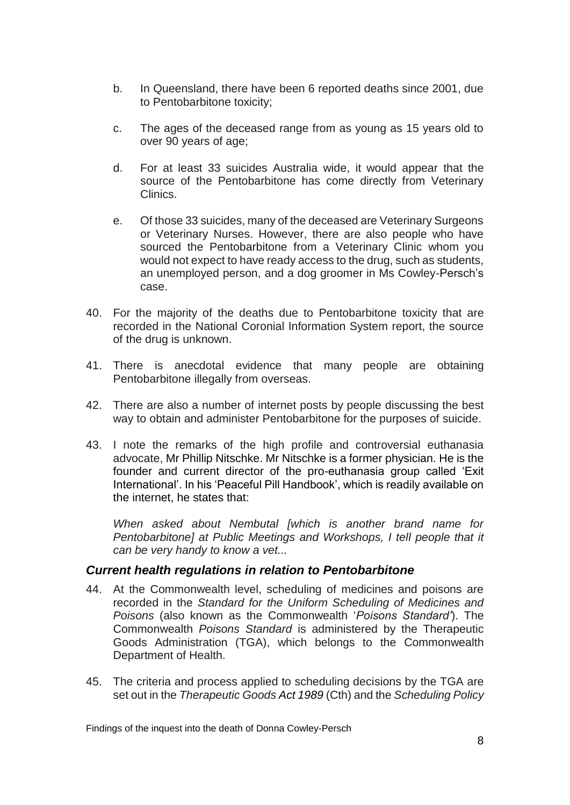- b. In Queensland, there have been 6 reported deaths since 2001, due to Pentobarbitone toxicity;
- c. The ages of the deceased range from as young as 15 years old to over 90 years of age;
- d. For at least 33 suicides Australia wide, it would appear that the source of the Pentobarbitone has come directly from Veterinary Clinics.
- e. Of those 33 suicides, many of the deceased are Veterinary Surgeons or Veterinary Nurses. However, there are also people who have sourced the Pentobarbitone from a Veterinary Clinic whom you would not expect to have ready access to the drug, such as students, an unemployed person, and a dog groomer in Ms Cowley-Persch's case.
- 40. For the majority of the deaths due to Pentobarbitone toxicity that are recorded in the National Coronial Information System report, the source of the drug is unknown.
- 41. There is anecdotal evidence that many people are obtaining Pentobarbitone illegally from overseas.
- 42. There are also a number of internet posts by people discussing the best way to obtain and administer Pentobarbitone for the purposes of suicide.
- 43. I note the remarks of the high profile and controversial euthanasia advocate, Mr Phillip Nitschke. Mr Nitschke is a former physician. He is the founder and current director of the pro-euthanasia group called 'Exit International'. In his 'Peaceful Pill Handbook', which is readily available on the internet, he states that:

*When asked about Nembutal [which is another brand name for Pentobarbitone] at Public Meetings and Workshops, I tell people that it can be very handy to know a vet...*

#### *Current health regulations in relation to Pentobarbitone*

- 44. At the Commonwealth level, scheduling of medicines and poisons are recorded in the *Standard for the Uniform Scheduling of Medicines and Poisons* (also known as the Commonwealth '*Poisons Standard'*). The Commonwealth *Poisons Standard* is administered by the Therapeutic Goods Administration (TGA), which belongs to the Commonwealth Department of Health.
- 45. The criteria and process applied to scheduling decisions by the TGA are set out in the *Therapeutic Goods Act 1989* (Cth) and the *Scheduling Policy*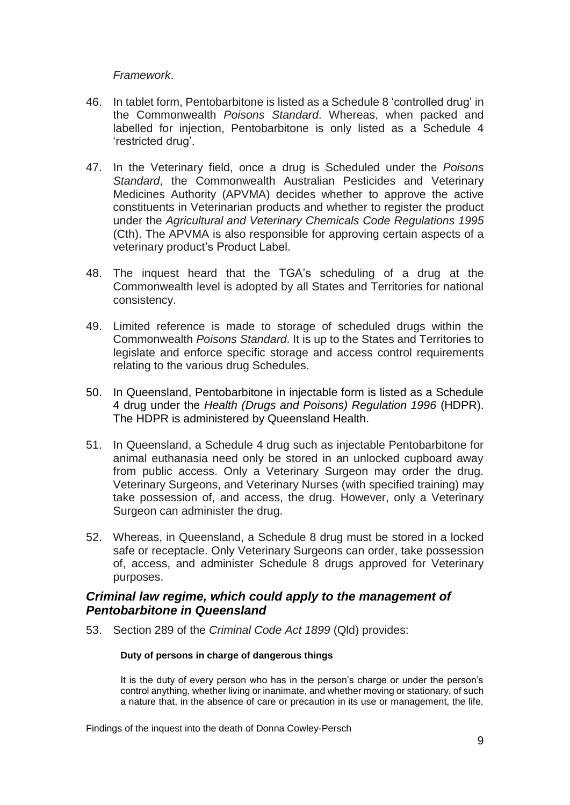#### *Framework*.

- 46. In tablet form, Pentobarbitone is listed as a Schedule 8 'controlled drug' in the Commonwealth *Poisons Standard*. Whereas, when packed and labelled for injection, Pentobarbitone is only listed as a Schedule 4 'restricted drug'.
- 47. In the Veterinary field, once a drug is Scheduled under the *Poisons Standard*, the Commonwealth Australian Pesticides and Veterinary Medicines Authority (APVMA) decides whether to approve the active constituents in Veterinarian products and whether to register the product under the *Agricultural and Veterinary Chemicals Code Regulations 1995* (Cth). The APVMA is also responsible for approving certain aspects of a veterinary product's Product Label.
- 48. The inquest heard that the TGA's scheduling of a drug at the Commonwealth level is adopted by all States and Territories for national consistency.
- 49. Limited reference is made to storage of scheduled drugs within the Commonwealth *Poisons Standard*. It is up to the States and Territories to legislate and enforce specific storage and access control requirements relating to the various drug Schedules.
- 50. In Queensland, Pentobarbitone in injectable form is listed as a Schedule 4 drug under the *Health (Drugs and Poisons) Regulation 1996* (HDPR). The HDPR is administered by Queensland Health.
- 51. In Queensland, a Schedule 4 drug such as injectable Pentobarbitone for animal euthanasia need only be stored in an unlocked cupboard away from public access. Only a Veterinary Surgeon may order the drug. Veterinary Surgeons, and Veterinary Nurses (with specified training) may take possession of, and access, the drug. However, only a Veterinary Surgeon can administer the drug.
- 52. Whereas, in Queensland, a Schedule 8 drug must be stored in a locked safe or receptacle. Only Veterinary Surgeons can order, take possession of, access, and administer Schedule 8 drugs approved for Veterinary purposes.

## *Criminal law regime, which could apply to the management of Pentobarbitone in Queensland*

53. Section 289 of the *Criminal Code Act 1899* (Qld) provides:

#### **Duty of persons in charge of dangerous things**

It is the duty of every person who has in the person's charge or under the person's control anything, whether living or inanimate, and whether moving or stationary, of such a nature that, in the absence of care or precaution in its use or management, the life,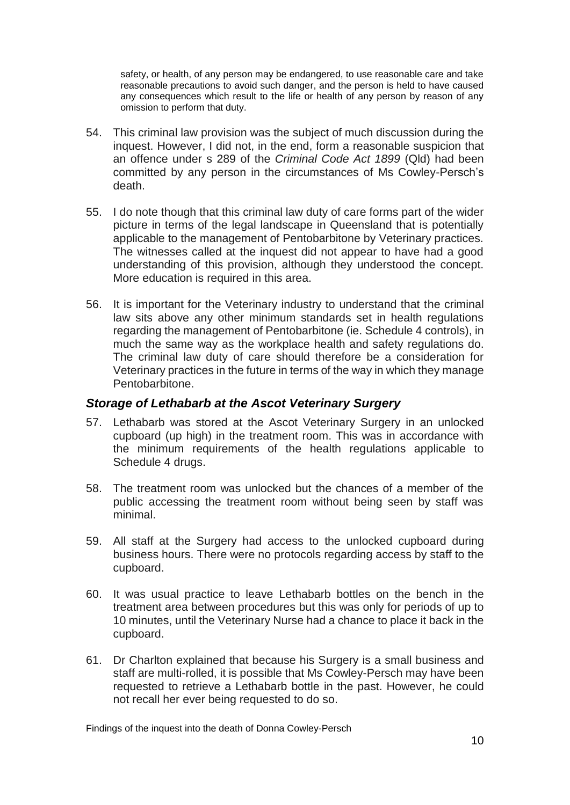safety, or health, of any person may be endangered, to use reasonable care and take reasonable precautions to avoid such danger, and the person is held to have caused any consequences which result to the life or health of any person by reason of any omission to perform that duty.

- 54. This criminal law provision was the subject of much discussion during the inquest. However, I did not, in the end, form a reasonable suspicion that an offence under s 289 of the *Criminal Code Act 1899* (Qld) had been committed by any person in the circumstances of Ms Cowley-Persch's death.
- 55. I do note though that this criminal law duty of care forms part of the wider picture in terms of the legal landscape in Queensland that is potentially applicable to the management of Pentobarbitone by Veterinary practices. The witnesses called at the inquest did not appear to have had a good understanding of this provision, although they understood the concept. More education is required in this area.
- 56. It is important for the Veterinary industry to understand that the criminal law sits above any other minimum standards set in health regulations regarding the management of Pentobarbitone (ie. Schedule 4 controls), in much the same way as the workplace health and safety regulations do. The criminal law duty of care should therefore be a consideration for Veterinary practices in the future in terms of the way in which they manage Pentobarbitone.

#### *Storage of Lethabarb at the Ascot Veterinary Surgery*

- 57. Lethabarb was stored at the Ascot Veterinary Surgery in an unlocked cupboard (up high) in the treatment room. This was in accordance with the minimum requirements of the health regulations applicable to Schedule 4 drugs.
- 58. The treatment room was unlocked but the chances of a member of the public accessing the treatment room without being seen by staff was minimal.
- 59. All staff at the Surgery had access to the unlocked cupboard during business hours. There were no protocols regarding access by staff to the cupboard.
- 60. It was usual practice to leave Lethabarb bottles on the bench in the treatment area between procedures but this was only for periods of up to 10 minutes, until the Veterinary Nurse had a chance to place it back in the cupboard.
- 61. Dr Charlton explained that because his Surgery is a small business and staff are multi-rolled, it is possible that Ms Cowley-Persch may have been requested to retrieve a Lethabarb bottle in the past. However, he could not recall her ever being requested to do so.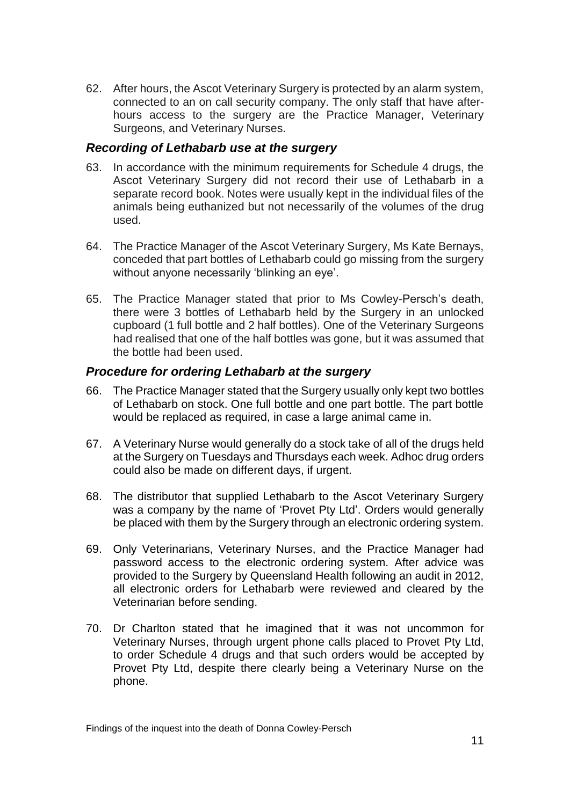62. After hours, the Ascot Veterinary Surgery is protected by an alarm system, connected to an on call security company. The only staff that have afterhours access to the surgery are the Practice Manager, Veterinary Surgeons, and Veterinary Nurses.

## *Recording of Lethabarb use at the surgery*

- 63. In accordance with the minimum requirements for Schedule 4 drugs, the Ascot Veterinary Surgery did not record their use of Lethabarb in a separate record book. Notes were usually kept in the individual files of the animals being euthanized but not necessarily of the volumes of the drug used.
- 64. The Practice Manager of the Ascot Veterinary Surgery, Ms Kate Bernays, conceded that part bottles of Lethabarb could go missing from the surgery without anyone necessarily 'blinking an eye'.
- 65. The Practice Manager stated that prior to Ms Cowley-Persch's death, there were 3 bottles of Lethabarb held by the Surgery in an unlocked cupboard (1 full bottle and 2 half bottles). One of the Veterinary Surgeons had realised that one of the half bottles was gone, but it was assumed that the bottle had been used.

## *Procedure for ordering Lethabarb at the surgery*

- 66. The Practice Manager stated that the Surgery usually only kept two bottles of Lethabarb on stock. One full bottle and one part bottle. The part bottle would be replaced as required, in case a large animal came in.
- 67. A Veterinary Nurse would generally do a stock take of all of the drugs held at the Surgery on Tuesdays and Thursdays each week. Adhoc drug orders could also be made on different days, if urgent.
- 68. The distributor that supplied Lethabarb to the Ascot Veterinary Surgery was a company by the name of 'Provet Pty Ltd'. Orders would generally be placed with them by the Surgery through an electronic ordering system.
- 69. Only Veterinarians, Veterinary Nurses, and the Practice Manager had password access to the electronic ordering system. After advice was provided to the Surgery by Queensland Health following an audit in 2012, all electronic orders for Lethabarb were reviewed and cleared by the Veterinarian before sending.
- 70. Dr Charlton stated that he imagined that it was not uncommon for Veterinary Nurses, through urgent phone calls placed to Provet Pty Ltd, to order Schedule 4 drugs and that such orders would be accepted by Provet Pty Ltd, despite there clearly being a Veterinary Nurse on the phone.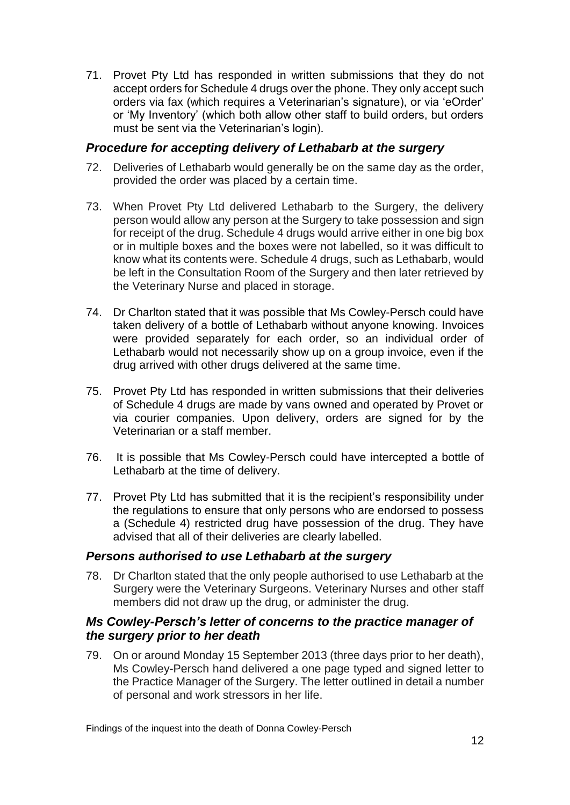71. Provet Pty Ltd has responded in written submissions that they do not accept orders for Schedule 4 drugs over the phone. They only accept such orders via fax (which requires a Veterinarian's signature), or via 'eOrder' or 'My Inventory' (which both allow other staff to build orders, but orders must be sent via the Veterinarian's login).

## *Procedure for accepting delivery of Lethabarb at the surgery*

- 72. Deliveries of Lethabarb would generally be on the same day as the order, provided the order was placed by a certain time.
- 73. When Provet Pty Ltd delivered Lethabarb to the Surgery, the delivery person would allow any person at the Surgery to take possession and sign for receipt of the drug. Schedule 4 drugs would arrive either in one big box or in multiple boxes and the boxes were not labelled, so it was difficult to know what its contents were. Schedule 4 drugs, such as Lethabarb, would be left in the Consultation Room of the Surgery and then later retrieved by the Veterinary Nurse and placed in storage.
- 74. Dr Charlton stated that it was possible that Ms Cowley-Persch could have taken delivery of a bottle of Lethabarb without anyone knowing. Invoices were provided separately for each order, so an individual order of Lethabarb would not necessarily show up on a group invoice, even if the drug arrived with other drugs delivered at the same time.
- 75. Provet Pty Ltd has responded in written submissions that their deliveries of Schedule 4 drugs are made by vans owned and operated by Provet or via courier companies. Upon delivery, orders are signed for by the Veterinarian or a staff member.
- 76. It is possible that Ms Cowley-Persch could have intercepted a bottle of Lethabarb at the time of delivery.
- 77. Provet Pty Ltd has submitted that it is the recipient's responsibility under the regulations to ensure that only persons who are endorsed to possess a (Schedule 4) restricted drug have possession of the drug. They have advised that all of their deliveries are clearly labelled.

# *Persons authorised to use Lethabarb at the surgery*

78. Dr Charlton stated that the only people authorised to use Lethabarb at the Surgery were the Veterinary Surgeons. Veterinary Nurses and other staff members did not draw up the drug, or administer the drug.

## *Ms Cowley-Persch's letter of concerns to the practice manager of the surgery prior to her death*

79. On or around Monday 15 September 2013 (three days prior to her death), Ms Cowley-Persch hand delivered a one page typed and signed letter to the Practice Manager of the Surgery. The letter outlined in detail a number of personal and work stressors in her life.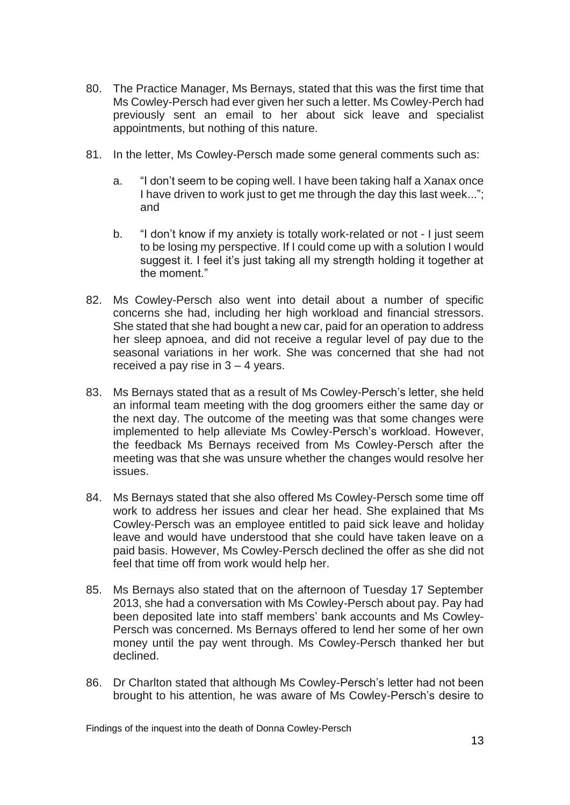- 80. The Practice Manager, Ms Bernays, stated that this was the first time that Ms Cowley-Persch had ever given her such a letter. Ms Cowley-Perch had previously sent an email to her about sick leave and specialist appointments, but nothing of this nature.
- 81. In the letter, Ms Cowley-Persch made some general comments such as:
	- a. "I don't seem to be coping well. I have been taking half a Xanax once I have driven to work just to get me through the day this last week...": and
	- b. "I don't know if my anxiety is totally work-related or not I just seem to be losing my perspective. If I could come up with a solution I would suggest it. I feel it's just taking all my strength holding it together at the moment."
- 82. Ms Cowley-Persch also went into detail about a number of specific concerns she had, including her high workload and financial stressors. She stated that she had bought a new car, paid for an operation to address her sleep apnoea, and did not receive a regular level of pay due to the seasonal variations in her work. She was concerned that she had not received a pay rise in 3 – 4 years.
- 83. Ms Bernays stated that as a result of Ms Cowley-Persch's letter, she held an informal team meeting with the dog groomers either the same day or the next day. The outcome of the meeting was that some changes were implemented to help alleviate Ms Cowley-Persch's workload. However, the feedback Ms Bernays received from Ms Cowley-Persch after the meeting was that she was unsure whether the changes would resolve her issues.
- 84. Ms Bernays stated that she also offered Ms Cowley-Persch some time off work to address her issues and clear her head. She explained that Ms Cowley-Persch was an employee entitled to paid sick leave and holiday leave and would have understood that she could have taken leave on a paid basis. However, Ms Cowley-Persch declined the offer as she did not feel that time off from work would help her.
- 85. Ms Bernays also stated that on the afternoon of Tuesday 17 September 2013, she had a conversation with Ms Cowley-Persch about pay. Pay had been deposited late into staff members' bank accounts and Ms Cowley-Persch was concerned. Ms Bernays offered to lend her some of her own money until the pay went through. Ms Cowley-Persch thanked her but declined.
- 86. Dr Charlton stated that although Ms Cowley-Persch's letter had not been brought to his attention, he was aware of Ms Cowley-Persch's desire to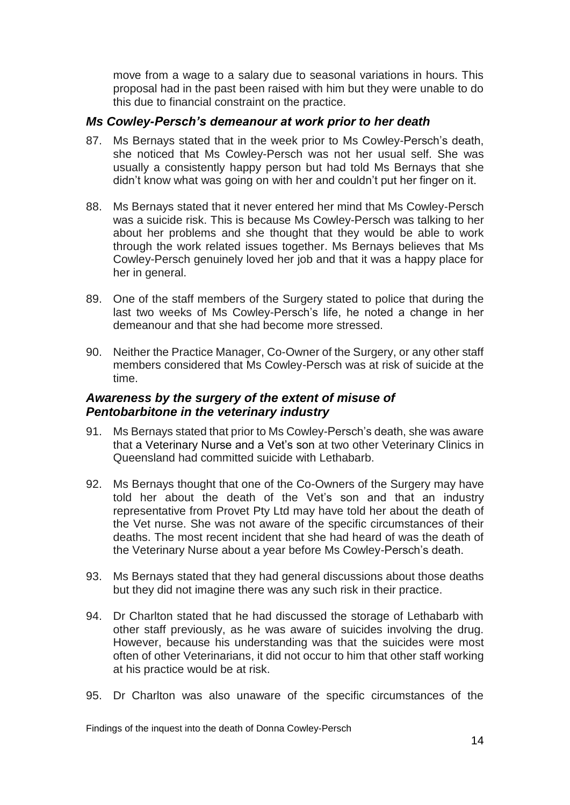move from a wage to a salary due to seasonal variations in hours. This proposal had in the past been raised with him but they were unable to do this due to financial constraint on the practice.

## *Ms Cowley-Persch's demeanour at work prior to her death*

- 87. Ms Bernays stated that in the week prior to Ms Cowley-Persch's death, she noticed that Ms Cowley-Persch was not her usual self. She was usually a consistently happy person but had told Ms Bernays that she didn't know what was going on with her and couldn't put her finger on it.
- 88. Ms Bernays stated that it never entered her mind that Ms Cowley-Persch was a suicide risk. This is because Ms Cowley-Persch was talking to her about her problems and she thought that they would be able to work through the work related issues together. Ms Bernays believes that Ms Cowley-Persch genuinely loved her job and that it was a happy place for her in general.
- 89. One of the staff members of the Surgery stated to police that during the last two weeks of Ms Cowley-Persch's life, he noted a change in her demeanour and that she had become more stressed.
- 90. Neither the Practice Manager, Co-Owner of the Surgery, or any other staff members considered that Ms Cowley-Persch was at risk of suicide at the time.

# *Awareness by the surgery of the extent of misuse of Pentobarbitone in the veterinary industry*

- 91. Ms Bernays stated that prior to Ms Cowley-Persch's death, she was aware that a Veterinary Nurse and a Vet's son at two other Veterinary Clinics in Queensland had committed suicide with Lethabarb.
- 92. Ms Bernays thought that one of the Co-Owners of the Surgery may have told her about the death of the Vet's son and that an industry representative from Provet Pty Ltd may have told her about the death of the Vet nurse. She was not aware of the specific circumstances of their deaths. The most recent incident that she had heard of was the death of the Veterinary Nurse about a year before Ms Cowley-Persch's death.
- 93. Ms Bernays stated that they had general discussions about those deaths but they did not imagine there was any such risk in their practice.
- 94. Dr Charlton stated that he had discussed the storage of Lethabarb with other staff previously, as he was aware of suicides involving the drug. However, because his understanding was that the suicides were most often of other Veterinarians, it did not occur to him that other staff working at his practice would be at risk.
- 95. Dr Charlton was also unaware of the specific circumstances of the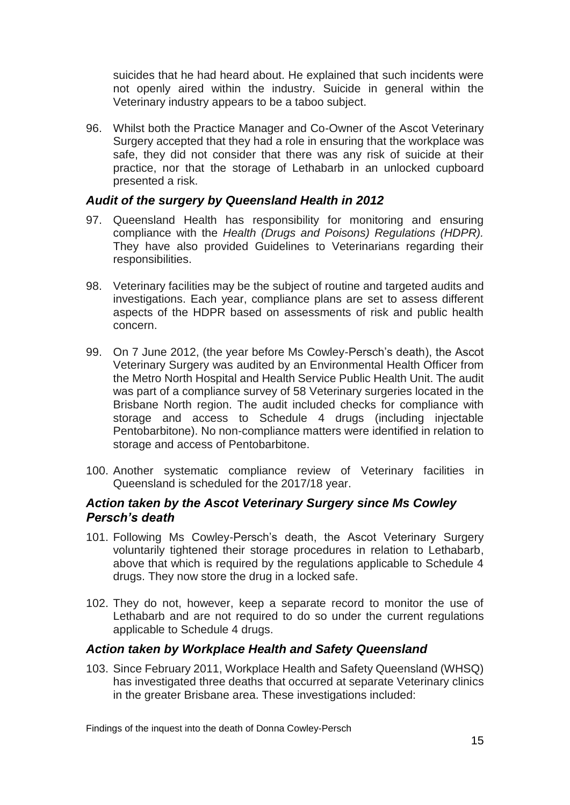suicides that he had heard about. He explained that such incidents were not openly aired within the industry. Suicide in general within the Veterinary industry appears to be a taboo subject.

96. Whilst both the Practice Manager and Co-Owner of the Ascot Veterinary Surgery accepted that they had a role in ensuring that the workplace was safe, they did not consider that there was any risk of suicide at their practice, nor that the storage of Lethabarb in an unlocked cupboard presented a risk.

## *Audit of the surgery by Queensland Health in 2012*

- 97. Queensland Health has responsibility for monitoring and ensuring compliance with the *Health (Drugs and Poisons) Regulations (HDPR).* They have also provided Guidelines to Veterinarians regarding their responsibilities.
- 98. Veterinary facilities may be the subject of routine and targeted audits and investigations. Each year, compliance plans are set to assess different aspects of the HDPR based on assessments of risk and public health concern.
- 99. On 7 June 2012, (the year before Ms Cowley-Persch's death), the Ascot Veterinary Surgery was audited by an Environmental Health Officer from the Metro North Hospital and Health Service Public Health Unit. The audit was part of a compliance survey of 58 Veterinary surgeries located in the Brisbane North region. The audit included checks for compliance with storage and access to Schedule 4 drugs (including injectable Pentobarbitone). No non-compliance matters were identified in relation to storage and access of Pentobarbitone.
- 100. Another systematic compliance review of Veterinary facilities in Queensland is scheduled for the 2017/18 year.

## *Action taken by the Ascot Veterinary Surgery since Ms Cowley Persch's death*

- 101. Following Ms Cowley-Persch's death, the Ascot Veterinary Surgery voluntarily tightened their storage procedures in relation to Lethabarb, above that which is required by the regulations applicable to Schedule 4 drugs. They now store the drug in a locked safe.
- 102. They do not, however, keep a separate record to monitor the use of Lethabarb and are not required to do so under the current regulations applicable to Schedule 4 drugs.

#### *Action taken by Workplace Health and Safety Queensland*

103. Since February 2011, Workplace Health and Safety Queensland (WHSQ) has investigated three deaths that occurred at separate Veterinary clinics in the greater Brisbane area. These investigations included: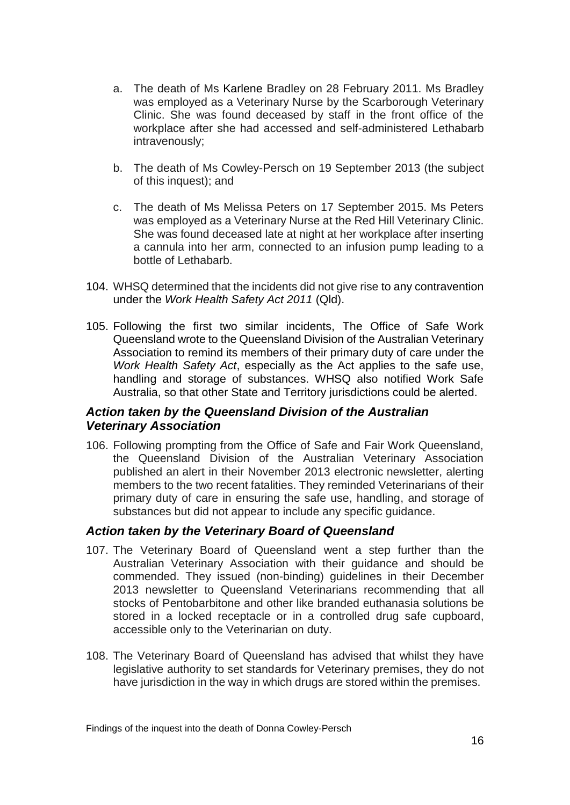- a. The death of Ms Karlene Bradley on 28 February 2011. Ms Bradley was employed as a Veterinary Nurse by the Scarborough Veterinary Clinic. She was found deceased by staff in the front office of the workplace after she had accessed and self-administered Lethabarb intravenously;
- b. The death of Ms Cowley-Persch on 19 September 2013 (the subject of this inquest); and
- c. The death of Ms Melissa Peters on 17 September 2015. Ms Peters was employed as a Veterinary Nurse at the Red Hill Veterinary Clinic. She was found deceased late at night at her workplace after inserting a cannula into her arm, connected to an infusion pump leading to a bottle of Lethabarb.
- 104. WHSQ determined that the incidents did not give rise to any contravention under the *Work Health Safety Act 2011* (Qld).
- 105. Following the first two similar incidents, The Office of Safe Work Queensland wrote to the Queensland Division of the Australian Veterinary Association to remind its members of their primary duty of care under the *Work Health Safety Act*, especially as the Act applies to the safe use, handling and storage of substances. WHSQ also notified Work Safe Australia, so that other State and Territory jurisdictions could be alerted.

# *Action taken by the Queensland Division of the Australian Veterinary Association*

106. Following prompting from the Office of Safe and Fair Work Queensland, the Queensland Division of the Australian Veterinary Association published an alert in their November 2013 electronic newsletter, alerting members to the two recent fatalities. They reminded Veterinarians of their primary duty of care in ensuring the safe use, handling, and storage of substances but did not appear to include any specific guidance.

# *Action taken by the Veterinary Board of Queensland*

- 107. The Veterinary Board of Queensland went a step further than the Australian Veterinary Association with their guidance and should be commended. They issued (non-binding) guidelines in their December 2013 newsletter to Queensland Veterinarians recommending that all stocks of Pentobarbitone and other like branded euthanasia solutions be stored in a locked receptacle or in a controlled drug safe cupboard, accessible only to the Veterinarian on duty.
- 108. The Veterinary Board of Queensland has advised that whilst they have legislative authority to set standards for Veterinary premises, they do not have jurisdiction in the way in which drugs are stored within the premises.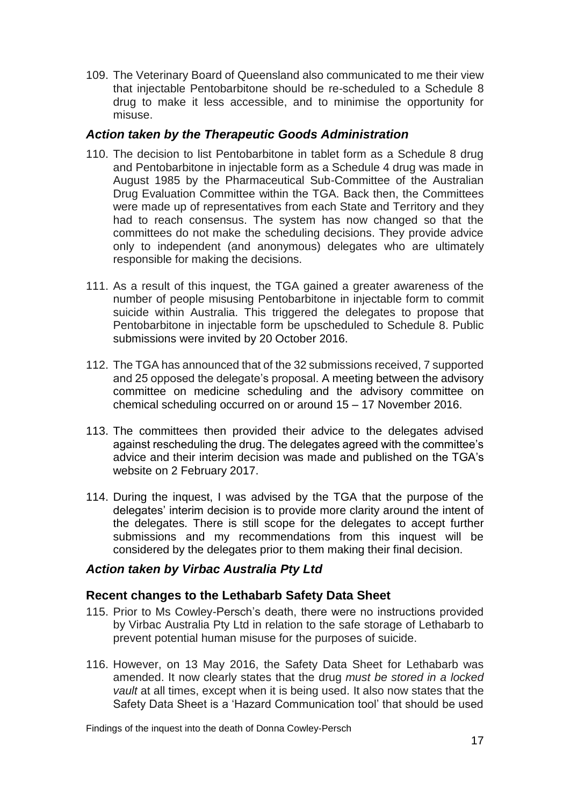109. The Veterinary Board of Queensland also communicated to me their view that injectable Pentobarbitone should be re-scheduled to a Schedule 8 drug to make it less accessible, and to minimise the opportunity for misuse.

# *Action taken by the Therapeutic Goods Administration*

- 110. The decision to list Pentobarbitone in tablet form as a Schedule 8 drug and Pentobarbitone in injectable form as a Schedule 4 drug was made in August 1985 by the Pharmaceutical Sub-Committee of the Australian Drug Evaluation Committee within the TGA. Back then, the Committees were made up of representatives from each State and Territory and they had to reach consensus. The system has now changed so that the committees do not make the scheduling decisions. They provide advice only to independent (and anonymous) delegates who are ultimately responsible for making the decisions.
- 111. As a result of this inquest, the TGA gained a greater awareness of the number of people misusing Pentobarbitone in injectable form to commit suicide within Australia. This triggered the delegates to propose that Pentobarbitone in injectable form be upscheduled to Schedule 8. Public submissions were invited by 20 October 2016.
- 112. The TGA has announced that of the 32 submissions received, 7 supported and 25 opposed the delegate's proposal. A meeting between the advisory committee on medicine scheduling and the advisory committee on chemical scheduling occurred on or around 15 – 17 November 2016.
- 113. The committees then provided their advice to the delegates advised against rescheduling the drug. The delegates agreed with the committee's advice and their interim decision was made and published on the TGA's website on 2 February 2017.
- 114. During the inquest, I was advised by the TGA that the purpose of the delegates' interim decision is to provide more clarity around the intent of the delegates. There is still scope for the delegates to accept further submissions and my recommendations from this inquest will be considered by the delegates prior to them making their final decision.

# *Action taken by Virbac Australia Pty Ltd*

# **Recent changes to the Lethabarb Safety Data Sheet**

- 115. Prior to Ms Cowley-Persch's death, there were no instructions provided by Virbac Australia Pty Ltd in relation to the safe storage of Lethabarb to prevent potential human misuse for the purposes of suicide.
- 116. However, on 13 May 2016, the Safety Data Sheet for Lethabarb was amended. It now clearly states that the drug *must be stored in a locked vault* at all times, except when it is being used. It also now states that the Safety Data Sheet is a 'Hazard Communication tool' that should be used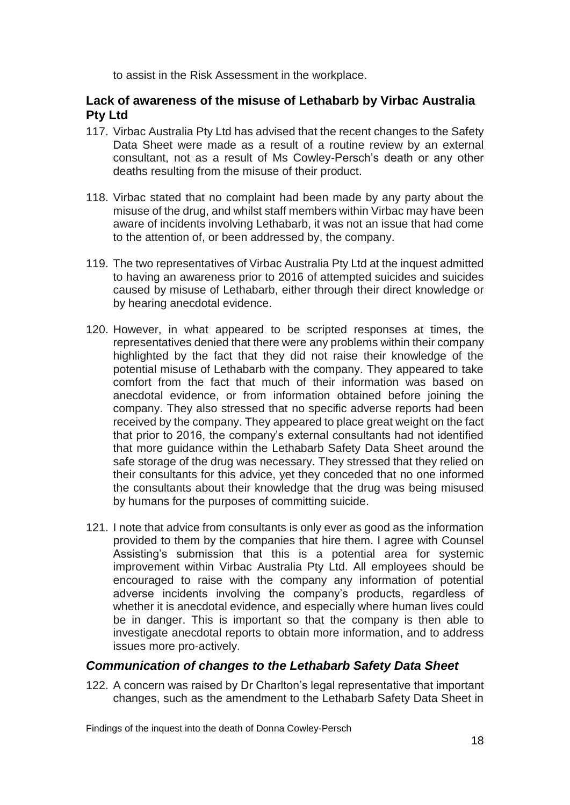to assist in the Risk Assessment in the workplace.

# **Lack of awareness of the misuse of Lethabarb by Virbac Australia Pty Ltd**

- 117. Virbac Australia Pty Ltd has advised that the recent changes to the Safety Data Sheet were made as a result of a routine review by an external consultant, not as a result of Ms Cowley-Persch's death or any other deaths resulting from the misuse of their product.
- 118. Virbac stated that no complaint had been made by any party about the misuse of the drug, and whilst staff members within Virbac may have been aware of incidents involving Lethabarb, it was not an issue that had come to the attention of, or been addressed by, the company.
- 119. The two representatives of Virbac Australia Pty Ltd at the inquest admitted to having an awareness prior to 2016 of attempted suicides and suicides caused by misuse of Lethabarb, either through their direct knowledge or by hearing anecdotal evidence.
- 120. However, in what appeared to be scripted responses at times, the representatives denied that there were any problems within their company highlighted by the fact that they did not raise their knowledge of the potential misuse of Lethabarb with the company. They appeared to take comfort from the fact that much of their information was based on anecdotal evidence, or from information obtained before joining the company. They also stressed that no specific adverse reports had been received by the company. They appeared to place great weight on the fact that prior to 2016, the company's external consultants had not identified that more guidance within the Lethabarb Safety Data Sheet around the safe storage of the drug was necessary. They stressed that they relied on their consultants for this advice, yet they conceded that no one informed the consultants about their knowledge that the drug was being misused by humans for the purposes of committing suicide.
- 121. I note that advice from consultants is only ever as good as the information provided to them by the companies that hire them. I agree with Counsel Assisting's submission that this is a potential area for systemic improvement within Virbac Australia Pty Ltd. All employees should be encouraged to raise with the company any information of potential adverse incidents involving the company's products, regardless of whether it is anecdotal evidence, and especially where human lives could be in danger. This is important so that the company is then able to investigate anecdotal reports to obtain more information, and to address issues more pro-actively.

# *Communication of changes to the Lethabarb Safety Data Sheet*

122. A concern was raised by Dr Charlton's legal representative that important changes, such as the amendment to the Lethabarb Safety Data Sheet in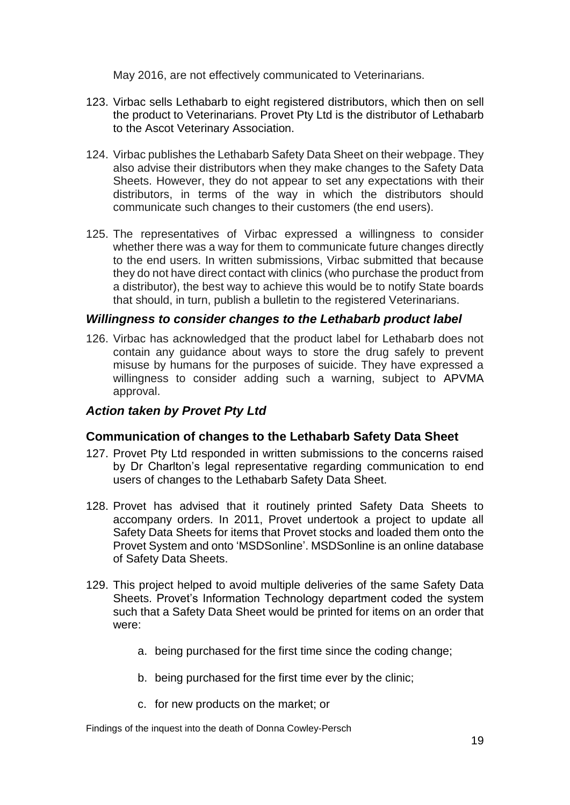May 2016, are not effectively communicated to Veterinarians.

- 123. Virbac sells Lethabarb to eight registered distributors, which then on sell the product to Veterinarians. Provet Pty Ltd is the distributor of Lethabarb to the Ascot Veterinary Association.
- 124. Virbac publishes the Lethabarb Safety Data Sheet on their webpage. They also advise their distributors when they make changes to the Safety Data Sheets. However, they do not appear to set any expectations with their distributors, in terms of the way in which the distributors should communicate such changes to their customers (the end users).
- 125. The representatives of Virbac expressed a willingness to consider whether there was a way for them to communicate future changes directly to the end users. In written submissions, Virbac submitted that because they do not have direct contact with clinics (who purchase the product from a distributor), the best way to achieve this would be to notify State boards that should, in turn, publish a bulletin to the registered Veterinarians.

## *Willingness to consider changes to the Lethabarb product label*

126. Virbac has acknowledged that the product label for Lethabarb does not contain any guidance about ways to store the drug safely to prevent misuse by humans for the purposes of suicide. They have expressed a willingness to consider adding such a warning, subject to APVMA approval.

# *Action taken by Provet Pty Ltd*

# **Communication of changes to the Lethabarb Safety Data Sheet**

- 127. Provet Pty Ltd responded in written submissions to the concerns raised by Dr Charlton's legal representative regarding communication to end users of changes to the Lethabarb Safety Data Sheet.
- 128. Provet has advised that it routinely printed Safety Data Sheets to accompany orders. In 2011, Provet undertook a project to update all Safety Data Sheets for items that Provet stocks and loaded them onto the Provet System and onto 'MSDSonline'. MSDSonline is an online database of Safety Data Sheets.
- 129. This project helped to avoid multiple deliveries of the same Safety Data Sheets. Provet's Information Technology department coded the system such that a Safety Data Sheet would be printed for items on an order that were:
	- a. being purchased for the first time since the coding change;
	- b. being purchased for the first time ever by the clinic;
	- c. for new products on the market; or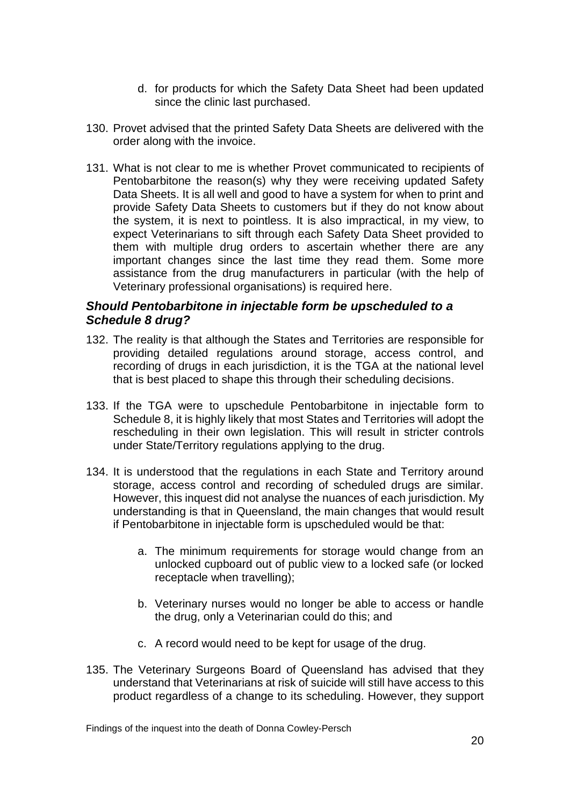- d. for products for which the Safety Data Sheet had been updated since the clinic last purchased.
- 130. Provet advised that the printed Safety Data Sheets are delivered with the order along with the invoice.
- 131. What is not clear to me is whether Provet communicated to recipients of Pentobarbitone the reason(s) why they were receiving updated Safety Data Sheets. It is all well and good to have a system for when to print and provide Safety Data Sheets to customers but if they do not know about the system, it is next to pointless. It is also impractical, in my view, to expect Veterinarians to sift through each Safety Data Sheet provided to them with multiple drug orders to ascertain whether there are any important changes since the last time they read them. Some more assistance from the drug manufacturers in particular (with the help of Veterinary professional organisations) is required here.

# *Should Pentobarbitone in injectable form be upscheduled to a Schedule 8 drug?*

- 132. The reality is that although the States and Territories are responsible for providing detailed regulations around storage, access control, and recording of drugs in each jurisdiction, it is the TGA at the national level that is best placed to shape this through their scheduling decisions.
- 133. If the TGA were to upschedule Pentobarbitone in injectable form to Schedule 8, it is highly likely that most States and Territories will adopt the rescheduling in their own legislation. This will result in stricter controls under State/Territory regulations applying to the drug.
- 134. It is understood that the regulations in each State and Territory around storage, access control and recording of scheduled drugs are similar. However, this inquest did not analyse the nuances of each jurisdiction. My understanding is that in Queensland, the main changes that would result if Pentobarbitone in injectable form is upscheduled would be that:
	- a. The minimum requirements for storage would change from an unlocked cupboard out of public view to a locked safe (or locked receptacle when travelling);
	- b. Veterinary nurses would no longer be able to access or handle the drug, only a Veterinarian could do this; and
	- c. A record would need to be kept for usage of the drug.
- 135. The Veterinary Surgeons Board of Queensland has advised that they understand that Veterinarians at risk of suicide will still have access to this product regardless of a change to its scheduling. However, they support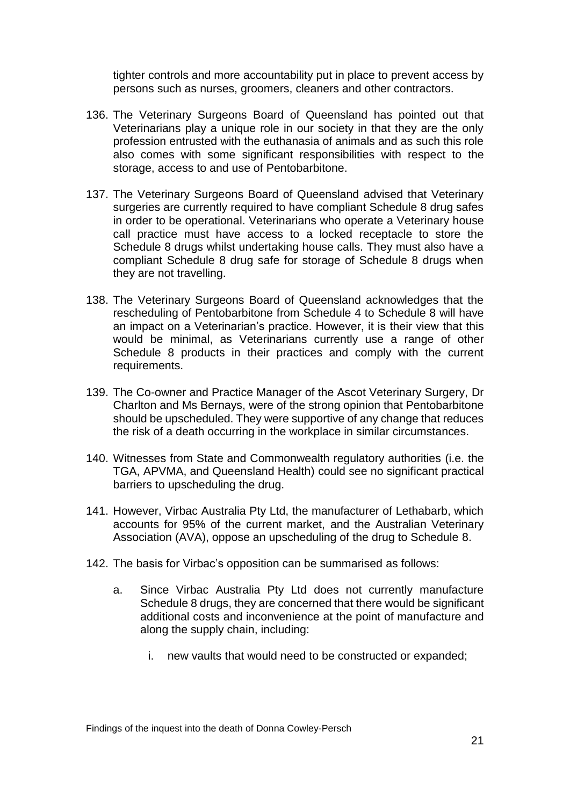tighter controls and more accountability put in place to prevent access by persons such as nurses, groomers, cleaners and other contractors.

- 136. The Veterinary Surgeons Board of Queensland has pointed out that Veterinarians play a unique role in our society in that they are the only profession entrusted with the euthanasia of animals and as such this role also comes with some significant responsibilities with respect to the storage, access to and use of Pentobarbitone.
- 137. The Veterinary Surgeons Board of Queensland advised that Veterinary surgeries are currently required to have compliant Schedule 8 drug safes in order to be operational. Veterinarians who operate a Veterinary house call practice must have access to a locked receptacle to store the Schedule 8 drugs whilst undertaking house calls. They must also have a compliant Schedule 8 drug safe for storage of Schedule 8 drugs when they are not travelling.
- 138. The Veterinary Surgeons Board of Queensland acknowledges that the rescheduling of Pentobarbitone from Schedule 4 to Schedule 8 will have an impact on a Veterinarian's practice. However, it is their view that this would be minimal, as Veterinarians currently use a range of other Schedule 8 products in their practices and comply with the current requirements.
- 139. The Co-owner and Practice Manager of the Ascot Veterinary Surgery, Dr Charlton and Ms Bernays, were of the strong opinion that Pentobarbitone should be upscheduled. They were supportive of any change that reduces the risk of a death occurring in the workplace in similar circumstances.
- 140. Witnesses from State and Commonwealth regulatory authorities (i.e. the TGA, APVMA, and Queensland Health) could see no significant practical barriers to upscheduling the drug.
- 141. However, Virbac Australia Pty Ltd, the manufacturer of Lethabarb, which accounts for 95% of the current market, and the Australian Veterinary Association (AVA), oppose an upscheduling of the drug to Schedule 8.
- 142. The basis for Virbac's opposition can be summarised as follows:
	- a. Since Virbac Australia Pty Ltd does not currently manufacture Schedule 8 drugs, they are concerned that there would be significant additional costs and inconvenience at the point of manufacture and along the supply chain, including:
		- i. new vaults that would need to be constructed or expanded;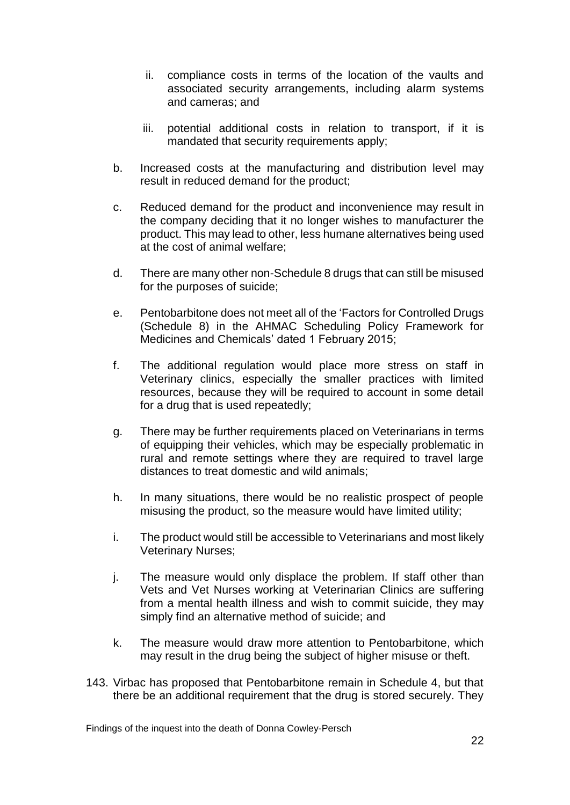- ii. compliance costs in terms of the location of the vaults and associated security arrangements, including alarm systems and cameras; and
- iii. potential additional costs in relation to transport, if it is mandated that security requirements apply;
- b. Increased costs at the manufacturing and distribution level may result in reduced demand for the product;
- c. Reduced demand for the product and inconvenience may result in the company deciding that it no longer wishes to manufacturer the product. This may lead to other, less humane alternatives being used at the cost of animal welfare;
- d. There are many other non-Schedule 8 drugs that can still be misused for the purposes of suicide;
- e. Pentobarbitone does not meet all of the 'Factors for Controlled Drugs (Schedule 8) in the AHMAC Scheduling Policy Framework for Medicines and Chemicals' dated 1 February 2015;
- f. The additional regulation would place more stress on staff in Veterinary clinics, especially the smaller practices with limited resources, because they will be required to account in some detail for a drug that is used repeatedly;
- g. There may be further requirements placed on Veterinarians in terms of equipping their vehicles, which may be especially problematic in rural and remote settings where they are required to travel large distances to treat domestic and wild animals;
- h. In many situations, there would be no realistic prospect of people misusing the product, so the measure would have limited utility;
- i. The product would still be accessible to Veterinarians and most likely Veterinary Nurses;
- j. The measure would only displace the problem. If staff other than Vets and Vet Nurses working at Veterinarian Clinics are suffering from a mental health illness and wish to commit suicide, they may simply find an alternative method of suicide; and
- k. The measure would draw more attention to Pentobarbitone, which may result in the drug being the subject of higher misuse or theft.
- 143. Virbac has proposed that Pentobarbitone remain in Schedule 4, but that there be an additional requirement that the drug is stored securely. They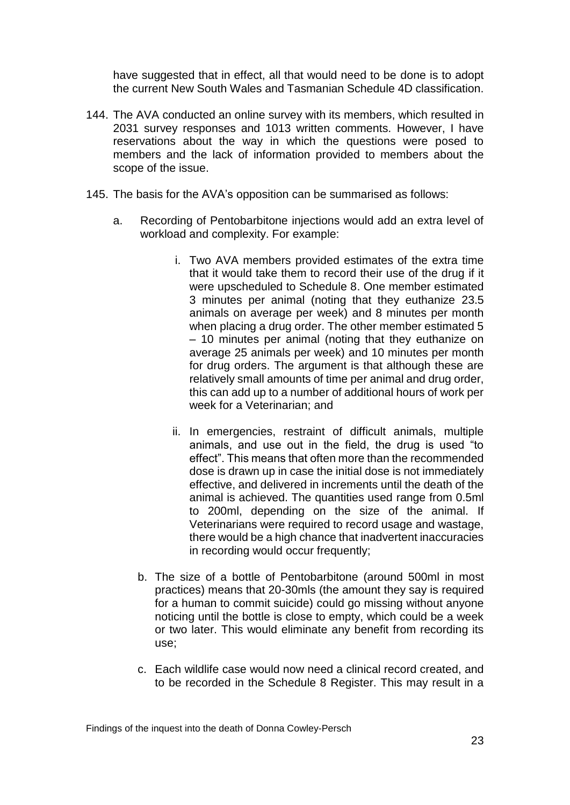have suggested that in effect, all that would need to be done is to adopt the current New South Wales and Tasmanian Schedule 4D classification.

- 144. The AVA conducted an online survey with its members, which resulted in 2031 survey responses and 1013 written comments. However, I have reservations about the way in which the questions were posed to members and the lack of information provided to members about the scope of the issue.
- 145. The basis for the AVA's opposition can be summarised as follows:
	- a. Recording of Pentobarbitone injections would add an extra level of workload and complexity. For example:
		- i. Two AVA members provided estimates of the extra time that it would take them to record their use of the drug if it were upscheduled to Schedule 8. One member estimated 3 minutes per animal (noting that they euthanize 23.5 animals on average per week) and 8 minutes per month when placing a drug order. The other member estimated 5 – 10 minutes per animal (noting that they euthanize on average 25 animals per week) and 10 minutes per month for drug orders. The argument is that although these are relatively small amounts of time per animal and drug order, this can add up to a number of additional hours of work per week for a Veterinarian; and
		- ii. In emergencies, restraint of difficult animals, multiple animals, and use out in the field, the drug is used "to effect". This means that often more than the recommended dose is drawn up in case the initial dose is not immediately effective, and delivered in increments until the death of the animal is achieved. The quantities used range from 0.5ml to 200ml, depending on the size of the animal. If Veterinarians were required to record usage and wastage, there would be a high chance that inadvertent inaccuracies in recording would occur frequently;
		- b. The size of a bottle of Pentobarbitone (around 500ml in most practices) means that 20-30mls (the amount they say is required for a human to commit suicide) could go missing without anyone noticing until the bottle is close to empty, which could be a week or two later. This would eliminate any benefit from recording its use;
		- c. Each wildlife case would now need a clinical record created, and to be recorded in the Schedule 8 Register. This may result in a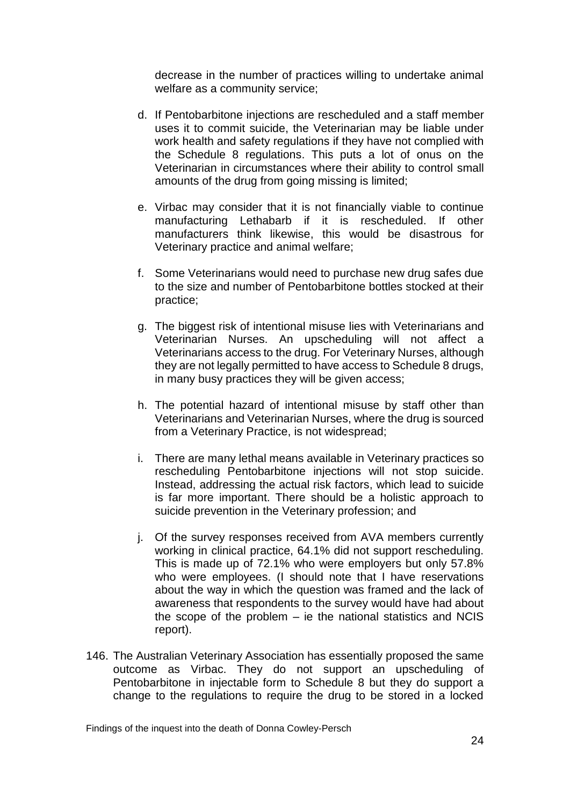decrease in the number of practices willing to undertake animal welfare as a community service;

- d. If Pentobarbitone injections are rescheduled and a staff member uses it to commit suicide, the Veterinarian may be liable under work health and safety regulations if they have not complied with the Schedule 8 regulations. This puts a lot of onus on the Veterinarian in circumstances where their ability to control small amounts of the drug from going missing is limited;
- e. Virbac may consider that it is not financially viable to continue manufacturing Lethabarb if it is rescheduled. If other manufacturers think likewise, this would be disastrous for Veterinary practice and animal welfare;
- f. Some Veterinarians would need to purchase new drug safes due to the size and number of Pentobarbitone bottles stocked at their practice;
- g. The biggest risk of intentional misuse lies with Veterinarians and Veterinarian Nurses. An upscheduling will not affect a Veterinarians access to the drug. For Veterinary Nurses, although they are not legally permitted to have access to Schedule 8 drugs, in many busy practices they will be given access;
- h. The potential hazard of intentional misuse by staff other than Veterinarians and Veterinarian Nurses, where the drug is sourced from a Veterinary Practice, is not widespread;
- i. There are many lethal means available in Veterinary practices so rescheduling Pentobarbitone injections will not stop suicide. Instead, addressing the actual risk factors, which lead to suicide is far more important. There should be a holistic approach to suicide prevention in the Veterinary profession; and
- j. Of the survey responses received from AVA members currently working in clinical practice, 64.1% did not support rescheduling. This is made up of 72.1% who were employers but only 57.8% who were employees. (I should note that I have reservations about the way in which the question was framed and the lack of awareness that respondents to the survey would have had about the scope of the problem – ie the national statistics and NCIS report).
- 146. The Australian Veterinary Association has essentially proposed the same outcome as Virbac. They do not support an upscheduling of Pentobarbitone in injectable form to Schedule 8 but they do support a change to the regulations to require the drug to be stored in a locked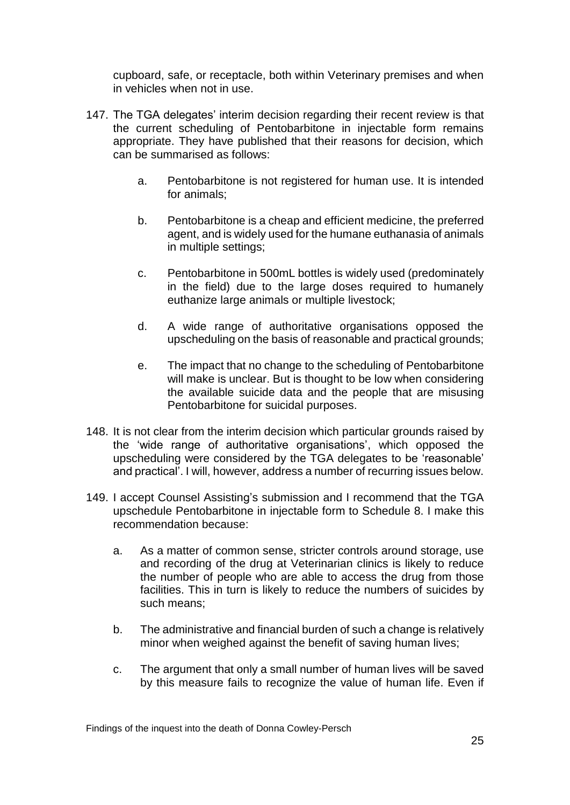cupboard, safe, or receptacle, both within Veterinary premises and when in vehicles when not in use.

- 147. The TGA delegates' interim decision regarding their recent review is that the current scheduling of Pentobarbitone in injectable form remains appropriate. They have published that their reasons for decision, which can be summarised as follows:
	- a. Pentobarbitone is not registered for human use. It is intended for animals;
	- b. Pentobarbitone is a cheap and efficient medicine, the preferred agent, and is widely used for the humane euthanasia of animals in multiple settings;
	- c. Pentobarbitone in 500mL bottles is widely used (predominately in the field) due to the large doses required to humanely euthanize large animals or multiple livestock;
	- d. A wide range of authoritative organisations opposed the upscheduling on the basis of reasonable and practical grounds;
	- e. The impact that no change to the scheduling of Pentobarbitone will make is unclear. But is thought to be low when considering the available suicide data and the people that are misusing Pentobarbitone for suicidal purposes.
- 148. It is not clear from the interim decision which particular grounds raised by the 'wide range of authoritative organisations', which opposed the upscheduling were considered by the TGA delegates to be 'reasonable' and practical'. I will, however, address a number of recurring issues below.
- 149. I accept Counsel Assisting's submission and I recommend that the TGA upschedule Pentobarbitone in injectable form to Schedule 8. I make this recommendation because:
	- a. As a matter of common sense, stricter controls around storage, use and recording of the drug at Veterinarian clinics is likely to reduce the number of people who are able to access the drug from those facilities. This in turn is likely to reduce the numbers of suicides by such means;
	- b. The administrative and financial burden of such a change is relatively minor when weighed against the benefit of saving human lives;
	- c. The argument that only a small number of human lives will be saved by this measure fails to recognize the value of human life. Even if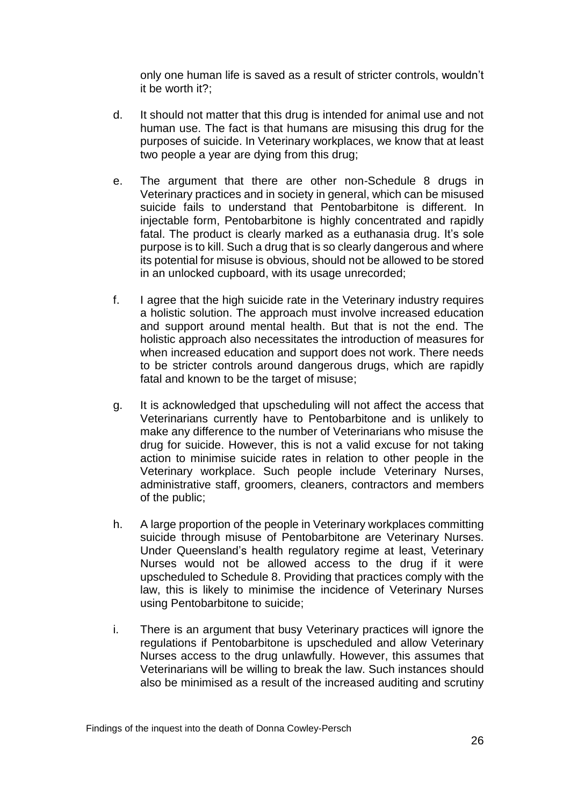only one human life is saved as a result of stricter controls, wouldn't it be worth it?;

- d. It should not matter that this drug is intended for animal use and not human use. The fact is that humans are misusing this drug for the purposes of suicide. In Veterinary workplaces, we know that at least two people a year are dying from this drug;
- e. The argument that there are other non-Schedule 8 drugs in Veterinary practices and in society in general, which can be misused suicide fails to understand that Pentobarbitone is different. In injectable form, Pentobarbitone is highly concentrated and rapidly fatal. The product is clearly marked as a euthanasia drug. It's sole purpose is to kill. Such a drug that is so clearly dangerous and where its potential for misuse is obvious, should not be allowed to be stored in an unlocked cupboard, with its usage unrecorded;
- f. I agree that the high suicide rate in the Veterinary industry requires a holistic solution. The approach must involve increased education and support around mental health. But that is not the end. The holistic approach also necessitates the introduction of measures for when increased education and support does not work. There needs to be stricter controls around dangerous drugs, which are rapidly fatal and known to be the target of misuse;
- g. It is acknowledged that upscheduling will not affect the access that Veterinarians currently have to Pentobarbitone and is unlikely to make any difference to the number of Veterinarians who misuse the drug for suicide. However, this is not a valid excuse for not taking action to minimise suicide rates in relation to other people in the Veterinary workplace. Such people include Veterinary Nurses, administrative staff, groomers, cleaners, contractors and members of the public;
- h. A large proportion of the people in Veterinary workplaces committing suicide through misuse of Pentobarbitone are Veterinary Nurses. Under Queensland's health regulatory regime at least, Veterinary Nurses would not be allowed access to the drug if it were upscheduled to Schedule 8. Providing that practices comply with the law, this is likely to minimise the incidence of Veterinary Nurses using Pentobarbitone to suicide;
- i. There is an argument that busy Veterinary practices will ignore the regulations if Pentobarbitone is upscheduled and allow Veterinary Nurses access to the drug unlawfully. However, this assumes that Veterinarians will be willing to break the law. Such instances should also be minimised as a result of the increased auditing and scrutiny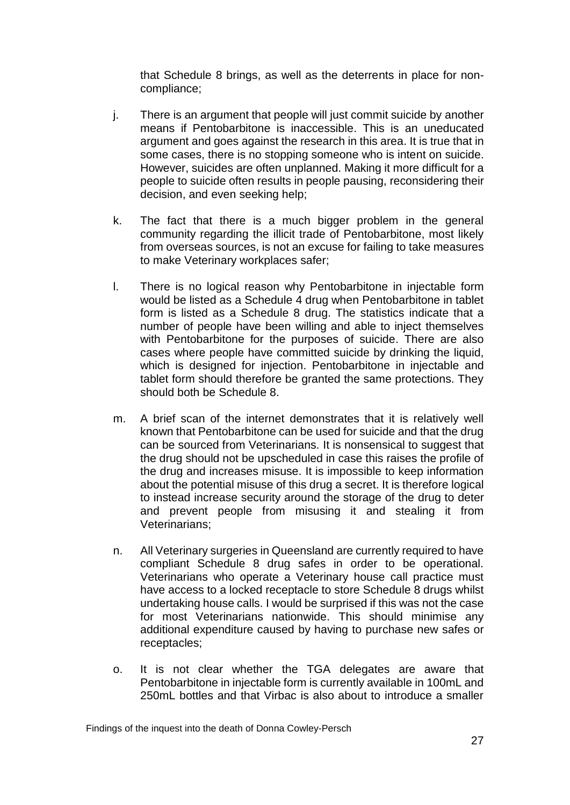that Schedule 8 brings, as well as the deterrents in place for noncompliance;

- j. There is an argument that people will just commit suicide by another means if Pentobarbitone is inaccessible. This is an uneducated argument and goes against the research in this area. It is true that in some cases, there is no stopping someone who is intent on suicide. However, suicides are often unplanned. Making it more difficult for a people to suicide often results in people pausing, reconsidering their decision, and even seeking help;
- k. The fact that there is a much bigger problem in the general community regarding the illicit trade of Pentobarbitone, most likely from overseas sources, is not an excuse for failing to take measures to make Veterinary workplaces safer;
- l. There is no logical reason why Pentobarbitone in injectable form would be listed as a Schedule 4 drug when Pentobarbitone in tablet form is listed as a Schedule 8 drug. The statistics indicate that a number of people have been willing and able to inject themselves with Pentobarbitone for the purposes of suicide. There are also cases where people have committed suicide by drinking the liquid, which is designed for injection. Pentobarbitone in injectable and tablet form should therefore be granted the same protections. They should both be Schedule 8.
- m. A brief scan of the internet demonstrates that it is relatively well known that Pentobarbitone can be used for suicide and that the drug can be sourced from Veterinarians. It is nonsensical to suggest that the drug should not be upscheduled in case this raises the profile of the drug and increases misuse. It is impossible to keep information about the potential misuse of this drug a secret. It is therefore logical to instead increase security around the storage of the drug to deter and prevent people from misusing it and stealing it from Veterinarians;
- n. All Veterinary surgeries in Queensland are currently required to have compliant Schedule 8 drug safes in order to be operational. Veterinarians who operate a Veterinary house call practice must have access to a locked receptacle to store Schedule 8 drugs whilst undertaking house calls. I would be surprised if this was not the case for most Veterinarians nationwide. This should minimise any additional expenditure caused by having to purchase new safes or receptacles;
- o. It is not clear whether the TGA delegates are aware that Pentobarbitone in injectable form is currently available in 100mL and 250mL bottles and that Virbac is also about to introduce a smaller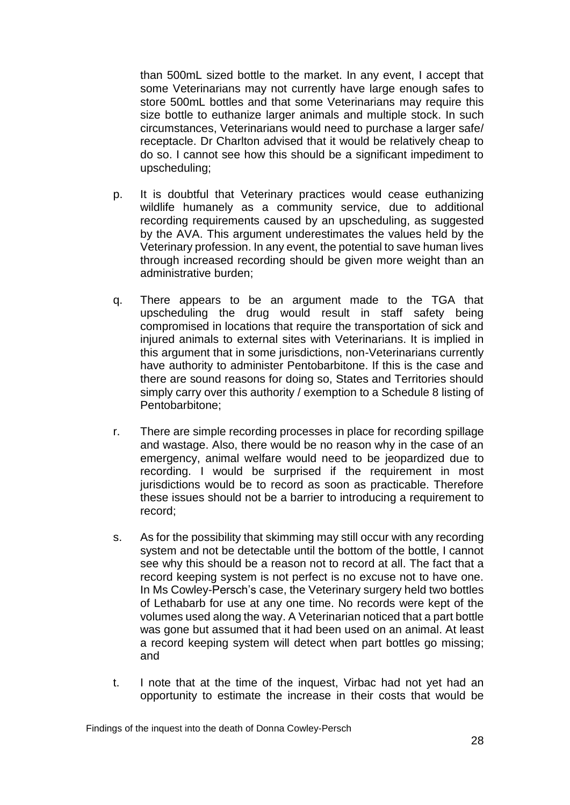than 500mL sized bottle to the market. In any event, I accept that some Veterinarians may not currently have large enough safes to store 500mL bottles and that some Veterinarians may require this size bottle to euthanize larger animals and multiple stock. In such circumstances, Veterinarians would need to purchase a larger safe/ receptacle. Dr Charlton advised that it would be relatively cheap to do so. I cannot see how this should be a significant impediment to upscheduling;

- p. It is doubtful that Veterinary practices would cease euthanizing wildlife humanely as a community service, due to additional recording requirements caused by an upscheduling, as suggested by the AVA. This argument underestimates the values held by the Veterinary profession. In any event, the potential to save human lives through increased recording should be given more weight than an administrative burden;
- q. There appears to be an argument made to the TGA that upscheduling the drug would result in staff safety being compromised in locations that require the transportation of sick and injured animals to external sites with Veterinarians. It is implied in this argument that in some jurisdictions, non-Veterinarians currently have authority to administer Pentobarbitone. If this is the case and there are sound reasons for doing so, States and Territories should simply carry over this authority / exemption to a Schedule 8 listing of Pentobarbitone;
- r. There are simple recording processes in place for recording spillage and wastage. Also, there would be no reason why in the case of an emergency, animal welfare would need to be jeopardized due to recording. I would be surprised if the requirement in most iurisdictions would be to record as soon as practicable. Therefore these issues should not be a barrier to introducing a requirement to record;
- s. As for the possibility that skimming may still occur with any recording system and not be detectable until the bottom of the bottle, I cannot see why this should be a reason not to record at all. The fact that a record keeping system is not perfect is no excuse not to have one. In Ms Cowley-Persch's case, the Veterinary surgery held two bottles of Lethabarb for use at any one time. No records were kept of the volumes used along the way. A Veterinarian noticed that a part bottle was gone but assumed that it had been used on an animal. At least a record keeping system will detect when part bottles go missing; and
- t. I note that at the time of the inquest, Virbac had not yet had an opportunity to estimate the increase in their costs that would be